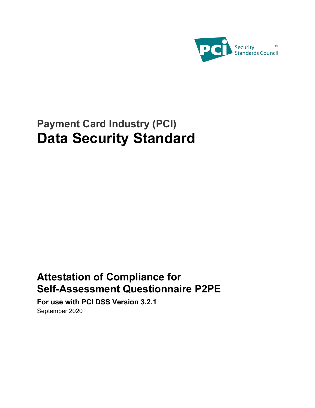

# **Payment Card Industry (PCI) Data Security Standard**

## **Attestation of Compliance for Self-Assessment Questionnaire P2PE**

**For use with PCI DSS Version 3.2.1** September 2020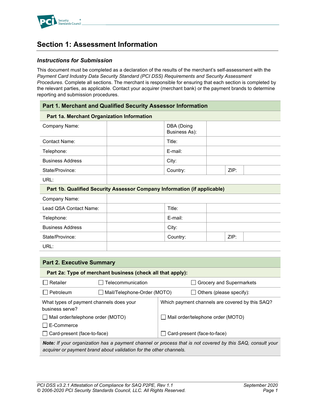

### **Section 1: Assessment Information**

### *Instructions for Submission*

This document must be completed as a declaration of the results of the merchant's self-assessment with the *Payment Card Industry Data Security Standard (PCI DSS) Requirements and Security Assessment Procedures*. Complete all sections. The merchant is responsible for ensuring that each section is completed by the relevant parties, as applicable. Contact your acquirer (merchant bank) or the payment brands to determine reporting and submission procedures.

| Part 1. Merchant and Qualified Security Assessor Information             |                                    |                                                 |  |
|--------------------------------------------------------------------------|------------------------------------|-------------------------------------------------|--|
| Part 1a. Merchant Organization Information                               |                                    |                                                 |  |
| Company Name:                                                            | DBA (Doing<br><b>Business As):</b> |                                                 |  |
| Contact Name:                                                            | Title:                             |                                                 |  |
| Telephone:                                                               | E-mail:                            |                                                 |  |
| <b>Business Address</b>                                                  | City:                              |                                                 |  |
| State/Province:                                                          | Country:                           | ZIP:                                            |  |
| URL:                                                                     |                                    |                                                 |  |
| Part 1b. Qualified Security Assessor Company Information (if applicable) |                                    |                                                 |  |
| Company Name:                                                            |                                    |                                                 |  |
| Lead QSA Contact Name:                                                   | Title:                             |                                                 |  |
| Telephone:                                                               | E-mail:                            |                                                 |  |
| <b>Business Address</b>                                                  | City:                              |                                                 |  |
| State/Province:                                                          | Country:                           | ZIP:                                            |  |
| URL:                                                                     |                                    |                                                 |  |
|                                                                          |                                    |                                                 |  |
| <b>Part 2. Executive Summary</b>                                         |                                    |                                                 |  |
| Part 2a: Type of merchant business (check all that apply):               |                                    |                                                 |  |
| Retailer<br>Telecommunication                                            |                                    | Grocery and Supermarkets                        |  |
| Petroleum<br>Mail/Telephone-Order (MOTO)                                 |                                    | Others (please specify):                        |  |
| What types of payment channels does your<br>business serve?              |                                    | Which payment channels are covered by this SAQ? |  |

*Note: If your organization has a payment channel or process that is not covered by this SAQ, consult your* 

Mail order/telephone order (MOTO)

□ Card-present (face-to-face)

*acquirer or payment brand about validation for the other channels.*

□ Mail order/telephone order (MOTO)

□ Card-present (face-to-face)

 $\Box$  E-Commerce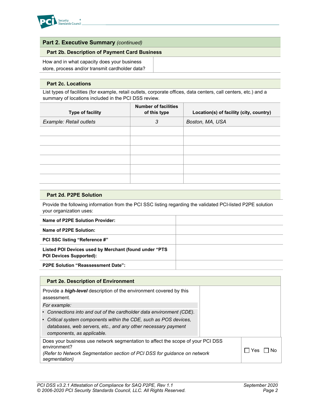

### **Part 2. Executive Summary** *(continued)*

### **Part 2b. Description of Payment Card Business**

How and in what capacity does your business store, process and/or transmit cardholder data?

#### **Part 2c. Locations**

List types of facilities (for example, retail outlets, corporate offices, data centers, call centers, etc.) and a summary of locations included in the PCI DSS review.

| Type of facility        | <b>Number of facilities</b><br>of this type | Location(s) of facility (city, country) |
|-------------------------|---------------------------------------------|-----------------------------------------|
| Example: Retail outlets | 3                                           | Boston, MA, USA                         |
|                         |                                             |                                         |
|                         |                                             |                                         |
|                         |                                             |                                         |
|                         |                                             |                                         |
|                         |                                             |                                         |
|                         |                                             |                                         |

#### **Part 2d. P2PE Solution**

Provide the following information from the PCI SSC listing regarding the validated PCI-listed P2PE solution your organization uses:

| Name of P2PE Solution Provider:                                                         |  |
|-----------------------------------------------------------------------------------------|--|
| Name of P2PE Solution:                                                                  |  |
| <b>PCI SSC listing "Reference #"</b>                                                    |  |
| Listed POI Devices used by Merchant (found under "PTS<br><b>POI Devices Supported):</b> |  |
| <b>P2PE Solution "Reassessment Date":</b>                                               |  |

| <b>Part 2e. Description of Environment</b>                                                                                                                     |               |  |  |
|----------------------------------------------------------------------------------------------------------------------------------------------------------------|---------------|--|--|
| Provide a <i>high-level</i> description of the environment covered by this<br>assessment.                                                                      |               |  |  |
| For example:                                                                                                                                                   |               |  |  |
| Connections into and out of the cardholder data environment (CDE).                                                                                             |               |  |  |
| Critical system components within the CDE, such as POS devices,<br>databases, web servers, etc., and any other necessary payment<br>components, as applicable. |               |  |  |
| Does your business use network segmentation to affect the scope of your PCI DSS<br>environment?                                                                |               |  |  |
| (Refer to Network Segmentation section of PCI DSS for guidance on network<br>segmentation)                                                                     | . I Yes<br>Nο |  |  |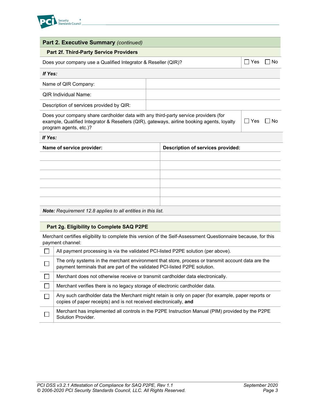

| <b>Part 2. Executive Summary (continued)</b>                                                                                                                                                                |  |                                   |        |        |
|-------------------------------------------------------------------------------------------------------------------------------------------------------------------------------------------------------------|--|-----------------------------------|--------|--------|
| <b>Part 2f. Third-Party Service Providers</b>                                                                                                                                                               |  |                                   |        |        |
| Does your company use a Qualified Integrator & Reseller (QIR)?                                                                                                                                              |  |                                   | l IYes | ∣ I No |
| If Yes:                                                                                                                                                                                                     |  |                                   |        |        |
| Name of QIR Company:                                                                                                                                                                                        |  |                                   |        |        |
| <b>QIR Individual Name:</b>                                                                                                                                                                                 |  |                                   |        |        |
| Description of services provided by QIR:                                                                                                                                                                    |  |                                   |        |        |
| Does your company share cardholder data with any third-party service providers (for<br>example, Qualified Integrator & Resellers (QIR), gateways, airline booking agents, loyalty<br>program agents, etc.)? |  | Yes                               | No     |        |
| If Yes:                                                                                                                                                                                                     |  |                                   |        |        |
| Name of service provider:                                                                                                                                                                                   |  | Description of services provided: |        |        |
|                                                                                                                                                                                                             |  |                                   |        |        |
|                                                                                                                                                                                                             |  |                                   |        |        |
|                                                                                                                                                                                                             |  |                                   |        |        |
|                                                                                                                                                                                                             |  |                                   |        |        |
|                                                                                                                                                                                                             |  |                                   |        |        |
|                                                                                                                                                                                                             |  |                                   |        |        |

*Note: Requirement 12.8 applies to all entities in this list.*

### **Part 2g. Eligibility to Complete SAQ P2PE**

Merchant certifies eligibility to complete this version of the Self-Assessment Questionnaire because, for this payment channel:

| All payment processing is via the validated PCI-listed P2PE solution (per above).                                                                                               |
|---------------------------------------------------------------------------------------------------------------------------------------------------------------------------------|
| The only systems in the merchant environment that store, process or transmit account data are the<br>payment terminals that are part of the validated PCI-listed P2PE solution. |
| Merchant does not otherwise receive or transmit cardholder data electronically.                                                                                                 |
| Merchant verifies there is no legacy storage of electronic cardholder data.                                                                                                     |
| Any such cardholder data the Merchant might retain is only on paper (for example, paper reports or<br>copies of paper receipts) and is not received electronically, and         |
| Merchant has implemented all controls in the P2PE Instruction Manual (PIM) provided by the P2PE<br>Solution Provider.                                                           |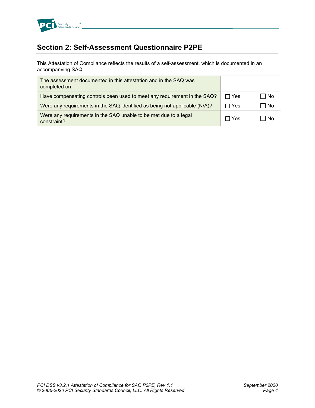

### **Section 2: Self-Assessment Questionnaire P2PE**

This Attestation of Compliance reflects the results of a self-assessment, which is documented in an accompanying SAQ.

| The assessment documented in this attestation and in the SAQ was<br>completed on: |              |     |
|-----------------------------------------------------------------------------------|--------------|-----|
| Have compensating controls been used to meet any requirement in the SAQ?          | $\Box$ Yes   | No  |
| Were any requirements in the SAQ identified as being not applicable (N/A)?        | $\sqcap$ Yes | No  |
| Were any requirements in the SAQ unable to be met due to a legal<br>constraint?   | $\sqcap$ Yes | ∣No |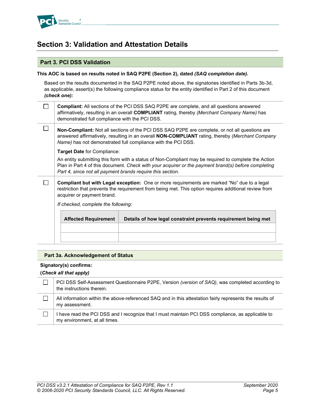

### **Section 3: Validation and Attestation Details**

### **Part 3. PCI DSS Validation**

### **This AOC is based on results noted in SAQ P2PE (Section 2), dated** *(SAQ completion date).*

Based on the results documented in the SAQ P2PE noted above, the signatories identified in Parts 3b-3d, as applicable, assert(s) the following compliance status for the entity identified in Part 2 of this document *(check one):*

|                                                                                                                                                                                                                                                                                                          | <b>Affected Requirement</b>                                                                                                                                                                                                        | Details of how legal constraint prevents requirement being met                                                                                                                                                                                                    |  |
|----------------------------------------------------------------------------------------------------------------------------------------------------------------------------------------------------------------------------------------------------------------------------------------------------------|------------------------------------------------------------------------------------------------------------------------------------------------------------------------------------------------------------------------------------|-------------------------------------------------------------------------------------------------------------------------------------------------------------------------------------------------------------------------------------------------------------------|--|
| If checked, complete the following:                                                                                                                                                                                                                                                                      |                                                                                                                                                                                                                                    |                                                                                                                                                                                                                                                                   |  |
|                                                                                                                                                                                                                                                                                                          | Compliant but with Legal exception: One or more requirements are marked "No" due to a legal<br>restriction that prevents the requirement from being met. This option requires additional review from<br>acquirer or payment brand. |                                                                                                                                                                                                                                                                   |  |
| Target Date for Compliance:<br>An entity submitting this form with a status of Non-Compliant may be required to complete the Action<br>Plan in Part 4 of this document. Check with your acquirer or the payment brand(s) before completing<br>Part 4, since not all payment brands require this section. |                                                                                                                                                                                                                                    |                                                                                                                                                                                                                                                                   |  |
|                                                                                                                                                                                                                                                                                                          |                                                                                                                                                                                                                                    | Non-Compliant: Not all sections of the PCI DSS SAQ P2PE are complete, or not all questions are<br>answered affirmatively, resulting in an overall NON-COMPLIANT rating, thereby (Merchant Company<br>Name) has not demonstrated full compliance with the PCI DSS. |  |
|                                                                                                                                                                                                                                                                                                          | demonstrated full compliance with the PCI DSS.                                                                                                                                                                                     | <b>Compliant:</b> All sections of the PCI DSS SAQ P2PE are complete, and all questions answered<br>affirmatively, resulting in an overall COMPLIANT rating, thereby (Merchant Company Name) has                                                                   |  |

### **Part 3a. Acknowledgement of Status**

### **Signatory(s) confirms:**

### **(***Check all that apply)*

| PCI DSS Self-Assessment Questionnaire P2PE, Version (version of SAQ), was completed according to<br>the instructions therein.    |
|----------------------------------------------------------------------------------------------------------------------------------|
| All information within the above-referenced SAQ and in this attestation fairly represents the results of<br>my assessment.       |
| have read the PCI DSS and I recognize that I must maintain PCI DSS compliance, as applicable to<br>my environment, at all times. |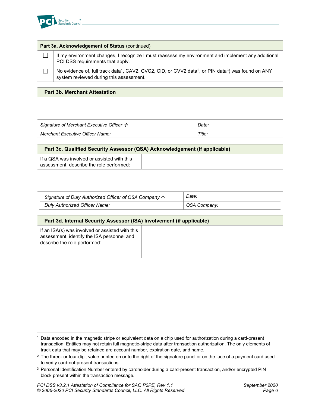

| Part 3a. Acknowledgement of Status (continued)                                                                                                                                     |  |  |  |
|------------------------------------------------------------------------------------------------------------------------------------------------------------------------------------|--|--|--|
| If my environment changes, I recognize I must reassess my environment and implement any additional<br>PCI DSS requirements that apply.                                             |  |  |  |
| No evidence of, full track data <sup>1</sup> , CAV2, CVC2, CID, or CVV2 data <sup>2</sup> , or PIN data <sup>3</sup> ) was found on ANY<br>system reviewed during this assessment. |  |  |  |
|                                                                                                                                                                                    |  |  |  |

### **Part 3b. Merchant Attestation**

| Signature of Merchant Executive Officer $\Lambda$ | Date. |
|---------------------------------------------------|-------|
| Merchant Executive Officer Name:                  | Title |

### **Part 3c. Qualified Security Assessor (QSA) Acknowledgement (if applicable)**

| Signature of Duly Authorized Officer of QSA Company $\uparrow$ | Date:        |  |
|----------------------------------------------------------------|--------------|--|
| Duly Authorized Officer Name:                                  | QSA Company: |  |

### **Part 3d. Internal Security Assessor (ISA) Involvement (if applicable)**

If an ISA(s) was involved or assisted with this assessment, identify the ISA personnel and describe the role performed:

<span id="page-6-0"></span><sup>1</sup> Data encoded in the magnetic stripe or equivalent data on a chip used for authorization during a card-present transaction. Entities may not retain full magnetic-stripe data after transaction authorization. The only elements of track data that may be retained are account number, expiration date, and name.

<span id="page-6-1"></span><sup>&</sup>lt;sup>2</sup> The three- or four-digit value printed on or to the right of the signature panel or on the face of a payment card used to verify card-not-present transactions.

<span id="page-6-2"></span><sup>&</sup>lt;sup>3</sup> Personal Identification Number entered by cardholder during a card-present transaction, and/or encrypted PIN block present within the transaction message.